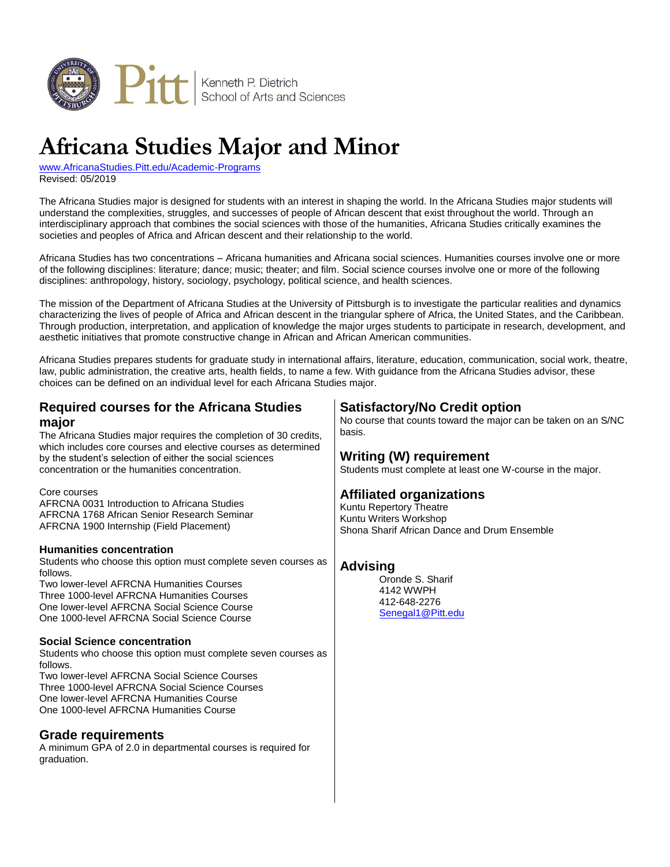

# **Africana Studies Major and Minor**

[www.AfricanaStudies.Pitt.edu/Academic-Programs](http://www.africanastudies.pitt.edu/academic-programs) Revised: 05/2019

The Africana Studies major is designed for students with an interest in shaping the world. In the Africana Studies major students will understand the complexities, struggles, and successes of people of African descent that exist throughout the world. Through an interdisciplinary approach that combines the social sciences with those of the humanities, Africana Studies critically examines the societies and peoples of Africa and African descent and their relationship to the world.

Africana Studies has two concentrations – Africana humanities and Africana social sciences. Humanities courses involve one or more of the following disciplines: literature; dance; music; theater; and film. Social science courses involve one or more of the following disciplines: anthropology, history, sociology, psychology, political science, and health sciences.

The mission of the Department of Africana Studies at the University of Pittsburgh is to investigate the particular realities and dynamics characterizing the lives of people of Africa and African descent in the triangular sphere of Africa, the United States, and the Caribbean. Through production, interpretation, and application of knowledge the major urges students to participate in research, development, and aesthetic initiatives that promote constructive change in African and African American communities.

Africana Studies prepares students for graduate study in international affairs, literature, education, communication, social work, theatre, law, public administration, the creative arts, health fields, to name a few. With guidance from the Africana Studies advisor, these choices can be defined on an individual level for each Africana Studies major.

# **Required courses for the Africana Studies major**

The Africana Studies major requires the completion of 30 credits, which includes core courses and elective courses as determined by the student's selection of either the social sciences concentration or the humanities concentration.

#### Core courses

AFRCNA 0031 Introduction to Africana Studies AFRCNA 1768 African Senior Research Seminar AFRCNA 1900 Internship (Field Placement)

### **Humanities concentration**

Students who choose this option must complete seven courses as follows.

Two lower-level AFRCNA Humanities Courses Three 1000-level AFRCNA Humanities Courses One lower-level AFRCNA Social Science Course One 1000-level AFRCNA Social Science Course

### **Social Science concentration**

Students who choose this option must complete seven courses as follows.

Two lower-level AFRCNA Social Science Courses Three 1000-level AFRCNA Social Science Courses One lower-level AFRCNA Humanities Course One 1000-level AFRCNA Humanities Course

### **Grade requirements**

A minimum GPA of 2.0 in departmental courses is required for graduation.

# **Satisfactory/No Credit option**

No course that counts toward the major can be taken on an S/NC basis.

## **Writing (W) requirement**

Students must complete at least one W-course in the major.

# **Affiliated organizations**

Kuntu Repertory Theatre Kuntu Writers Workshop Shona Sharif African Dance and Drum Ensemble

## **Advising**

Oronde S. Sharif 4142 WWPH 412-648-2276 [Senegal1@Pitt.edu](mailto:senegal1@pitt.edu)